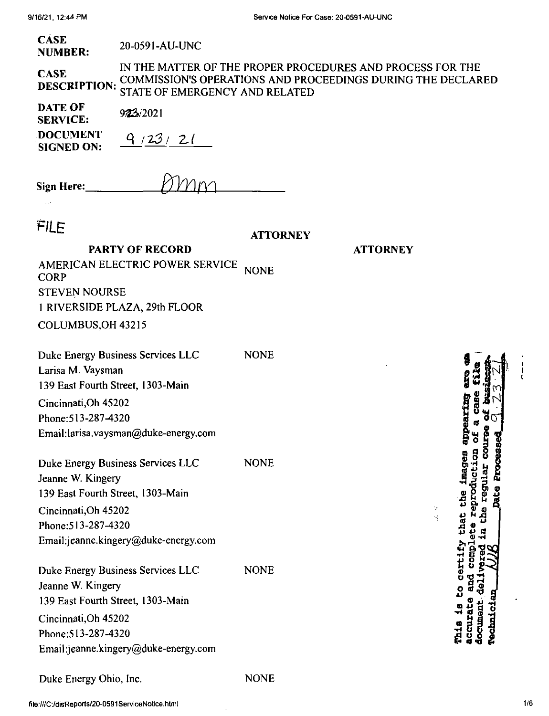| <b>CASE</b>    | 20-0591-AU-UNC |
|----------------|----------------|
| <b>NUMBER:</b> |                |

IN THE MATTER OF THE PROPER PROCEDURES AND PROCESS FOR THE COMMISSION'S OPERATIONS AND PROCEEDINGS DURING THE DECLARED STATE OF EMERGENCY AND RELATED **CASE DESCRIPTION:**

| DATE OF<br><b>SERVICE:</b>           | 923/2021 |
|--------------------------------------|----------|
| <b>DOCUMENT</b><br><b>SIGNED ON:</b> | 9/23/21  |

| <b>Sign Here:</b> | <i>K</i> MM |
|-------------------|-------------|
|                   |             |

 $\ldots$ 

| FILE                                                   | <b>ATTORNEY</b> |                 |
|--------------------------------------------------------|-----------------|-----------------|
| <b>PARTY OF RECORD</b>                                 |                 | <b>ATTORNEY</b> |
| AMERICAN ELECTRIC POWER SERVICE<br><b>CORP</b>         | <b>NONE</b>     |                 |
| <b>STEVEN NOURSE</b>                                   |                 |                 |
| 1 RIVERSIDE PLAZA, 29th FLOOR                          |                 |                 |
| COLUMBUS, OH 43215                                     |                 |                 |
| Duke Energy Business Services LLC<br>Larisa M. Vaysman | <b>NONE</b>     |                 |
| 139 East Fourth Street, 1303-Main                      |                 |                 |
| Cincinnati, Oh 45202                                   |                 |                 |
| Phone: 513-287-4320                                    |                 |                 |
| Email:larisa.vaysman@duke-energy.com                   |                 |                 |
| Duke Energy Business Services LLC<br>Jeanne W. Kingery | <b>NONE</b>     |                 |
| 139 East Fourth Street, 1303-Main                      |                 |                 |
| Cincinnati, Oh 45202                                   |                 |                 |
| Phone: 513-287-4320                                    |                 |                 |
| Email:jeanne.kingery@duke-energy.com                   |                 |                 |
| Duke Energy Business Services LLC                      | <b>NONE</b>     |                 |
| Jeanne W. Kingery                                      |                 |                 |
| 139 East Fourth Street, 1303-Main                      |                 |                 |
| Cincinnati, Oh 45202                                   |                 |                 |
| Phone: 513-287-4320                                    |                 |                 |
| Email:jeanne.kingery@duke-energy.com                   |                 |                 |
| Duke Energy Ohio, Inc.                                 | <b>NONE</b>     |                 |

**b|i** 0 0 8 8 ucti<br>1 ar<br>**Proc** يًا 3 **•rt B JW-S** document, deli<br>Technician **s§-a ® ? Jq •d « 5 «**  $\overline{9}$ ■fl " Qi 4) <0 that<br>ete r<br>in the a case fil

 $\mathbb{R}^2$  $\mathcal{S}^{\pm}_{\mathbf{1}}$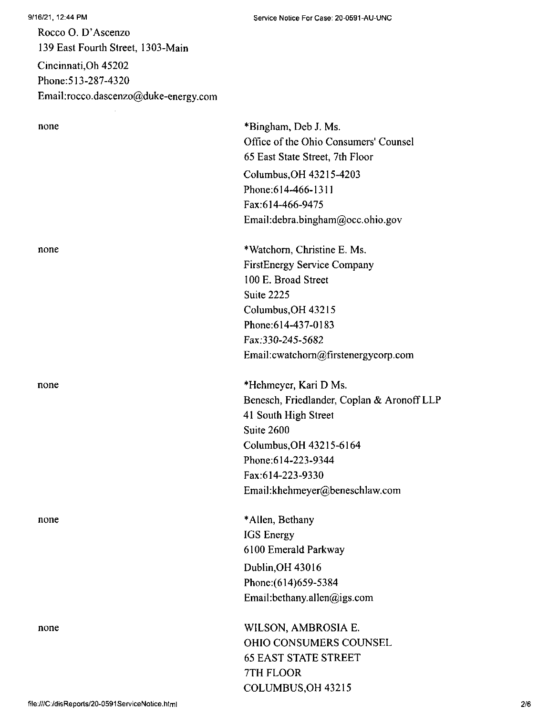9/16/21, 12:44 PM

Rocco O. D'Ascenzo 139 East Fourth Street, 1303-Main Cincinnati,Oh 45202 Phone:513-287-4320 Email:rocco.dascenzo@duke-energy.com

| none | *Bingham, Deb J. Ms.                       |
|------|--------------------------------------------|
|      | Office of the Ohio Consumers' Counsel      |
|      | 65 East State Street, 7th Floor            |
|      | Columbus, OH 43215-4203                    |
|      | Phone: 614-466-1311                        |
|      | Fax:614-466-9475                           |
|      | Email:debra.bingham@occ.ohio.gov           |
| none | *Watchorn, Christine E. Ms.                |
|      | <b>FirstEnergy Service Company</b>         |
|      | 100 E. Broad Street                        |
|      | Suite 2225                                 |
|      | Columbus, OH 43215                         |
|      | Phone: 614-437-0183                        |
|      | Fax:330-245-5682                           |
|      | Email: cwatchorn@firstenergycorp.com       |
| none | *Hehmeyer, Kari D Ms.                      |
|      | Benesch, Friedlander, Coplan & Aronoff LLP |
|      | 41 South High Street                       |
|      | Suite 2600                                 |
|      | Columbus, OH 43215-6164                    |
|      | Phone: 614-223-9344                        |
|      | Fax:614-223-9330                           |
|      | Email:khehmeyer@beneschlaw.com             |
| none | *Allen, Bethany                            |
|      | <b>IGS</b> Energy                          |
|      | 6100 Emerald Parkway                       |
|      | Dublin, OH 43016                           |
|      | Phone: (614) 659-5384                      |
|      | Email:bethany.allen@igs.com                |
| none | WILSON, AMBROSIA E.                        |
|      | OHIO CONSUMERS COUNSEL                     |
|      | <b>65 EAST STATE STREET</b>                |

7TH FLOOR

COLUMBUS,OH 43215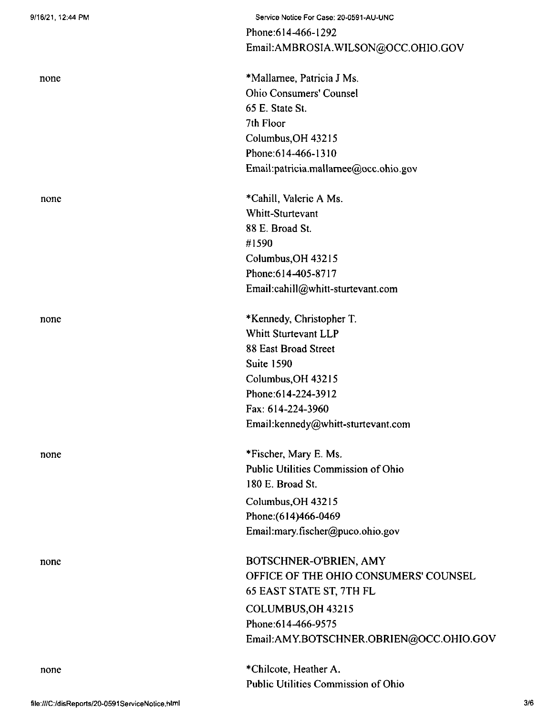| none | *Mallarnee, Patricia J Ms.              |
|------|-----------------------------------------|
|      | <b>Ohio Consumers' Counsel</b>          |
|      | 65 E. State St.                         |
|      | 7th Floor                               |
|      | Columbus, OH 43215                      |
|      | Phone: 614-466-1310                     |
|      | Email:patricia.mallamee@occ.ohio.gov    |
| none | *Cahill, Valerie A Ms.                  |
|      | Whitt-Sturtevant                        |
|      | 88 E. Broad St.                         |
|      | #1590                                   |
|      | Columbus, OH 43215                      |
|      | Phone: 614-405-8717                     |
|      | Email:cahill@whitt-sturtevant.com       |
| none | *Kennedy, Christopher T.                |
|      | Whitt Sturtevant LLP                    |
|      | 88 East Broad Street                    |
|      | <b>Suite 1590</b>                       |
|      | Columbus, OH 43215                      |
|      | Phone: 614-224-3912                     |
|      | Fax: 614-224-3960                       |
|      | Email:kennedy@whitt-sturtevant.com      |
| none | *Fischer, Mary E. Ms.                   |
|      | Public Utilities Commission of Ohio     |
|      | 180 E. Broad St.                        |
|      | Columbus, OH 43215                      |
|      | Phone: (614)466-0469                    |
|      | Email:mary.fischer@puco.ohio.gov        |
| none | BOTSCHNER-O'BRIEN, AMY                  |
|      | OFFICE OF THE OHIO CONSUMERS' COUNSEL   |
|      | 65 EAST STATE ST, 7TH FL                |
|      | COLUMBUS, OH 43215                      |
|      | Phone: 614-466-9575                     |
|      | Email:AMY.BOTSCHNER.OBRIEN@OCC.OHIO.GOV |
| none | *Chilcote, Heather A.                   |
|      | Public Utilities Commission of Ohio     |

Service Notice For Case: 20-0591-AU-UNC

Email:AMBROSIA.WILSON@OCC.OHIO.GOV

Phone:614-466-l292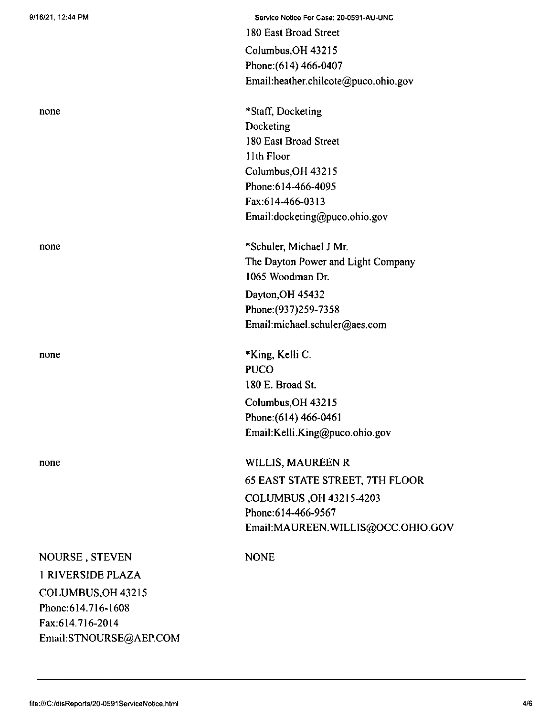| 9/16/21, 12:44 PM      | Service Notice For Case: 20-0591-AU-UNC |
|------------------------|-----------------------------------------|
|                        | 180 East Broad Street                   |
|                        | Columbus, OH 43215                      |
|                        | Phone: (614) 466-0407                   |
|                        | Email:heather.chilcote@puco.ohio.gov    |
| none                   | *Staff, Docketing                       |
|                        | Docketing                               |
|                        | 180 East Broad Street                   |
|                        | 11th Floor                              |
|                        | Columbus, OH 43215                      |
|                        | Phone: 614-466-4095                     |
|                        | Fax:614-466-0313                        |
|                        | Email:docketing@puco.ohio.gov           |
| none                   | *Schuler, Michael J Mr.                 |
|                        | The Dayton Power and Light Company      |
|                        | 1065 Woodman Dr.                        |
|                        | Dayton, OH 45432                        |
|                        | Phone: (937) 259-7358                   |
|                        | Email:michael.schuler@aes.com           |
| none                   | *King, Kelli C.                         |
|                        | <b>PUCO</b>                             |
|                        | 180 E. Broad St.                        |
|                        | Columbus, OH 43215                      |
|                        | Phone: (614) 466-0461                   |
|                        | Email:Kelli.King@puco.ohio.gov          |
| none                   | WILLIS, MAUREEN R                       |
|                        | <b>65 EAST STATE STREET, 7TH FLOOR</b>  |
|                        | COLUMBUS, OH 43215-4203                 |
|                        | Phone: 614-466-9567                     |
|                        | Email:MAUREEN.WILLIS@OCC.OHIO.GOV       |
| NOURSE, STEVEN         | <b>NONE</b>                             |
| 1 RIVERSIDE PLAZA      |                                         |
| COLUMBUS, OH 43215     |                                         |
| Phone: 614.716-1608    |                                         |
| Fax:614.716-2014       |                                         |
| Email:STNOURSE@AEP.COM |                                         |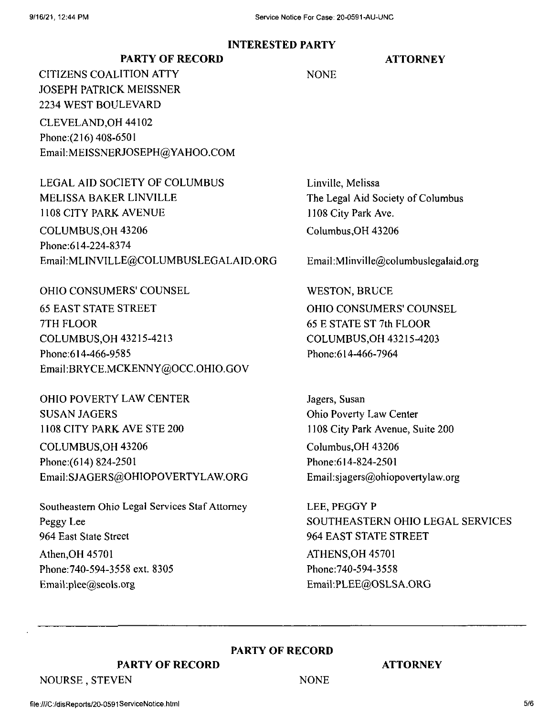## **INTERESTED PARTY**

## **ATTORNEY**

**NONE** 

CLEVELAND,OH 44102 Phone:(216) 408-6501 Email:MEISSNERJOSEPH@YAHOO.COM **PARTY OF RECORD** CITIZENS COALITION ATTY JOSEPH PATRICK MEISSNER 2234 WEST BOULEVARD

LEGAL AID SOCIETY OF COLUMBUS MELISSA BAKER LINVILLE 1108 CITY PARK AVENUE COLUMBUS,OH 43206 Phone:614-224-8374 Email:MLINVILLE@COLUMBUSLEGALAlD.ORG

OHIO CONSUMERS' COUNSEL WESTON, BRUCE

65 EAST STATE STREET 7TH FLOOR COLUMBUS,OH 43215-4213 Phone:614-466-9585 Email:BRYCE.MCKENNY@OCC.OHIO.GOV

OHIO POVERTY LAW CENTER SUSAN JAGERS 1108 CITY PARK AVE STE 200 COLUMBUS,OH 43206 Phone:(614) 824-2501 Email:SJAGERS@OHIOPOVERTYLAW.ORG

Athen,OH 45701 Phone:740-594-3558 ext. 8305 Email:plee@seols.org Southeastern Ohio Legal Services Staf Attorney Peggy Lee 964 East State Street

Linville, Melissa The Legal Aid Society of Columbus 1108 City Park Ave. Columbus,OH 43206

Email:Mlinville@columbuslegalaid.org

OHIO CONSUMERS' COUNSEL 65 E STATE ST 7th FLOOR COLUMBUS,OH 43215-4203 Phone:614-466-7964

Jagers, Susan Ohio Poverty Law Center 1108 City Park Avenue, Suite 200 Columbus,OH 43206 Phone:614-824-2501 Email:sjagers@ohiopovertylaw.org

LEE, PEGGY P SOUTHEASTERN OHIO LEGAL SERVICES 964 EAST STATE STREET ATHENS,OH 45701 Phone:740-594-3558 Email:PLEE@OSLSA.ORG

**PARTY OF RECORD**

NONE

**PARTY OF RECORD**

## **ATTORNEY**

NOURSE , STEVEN